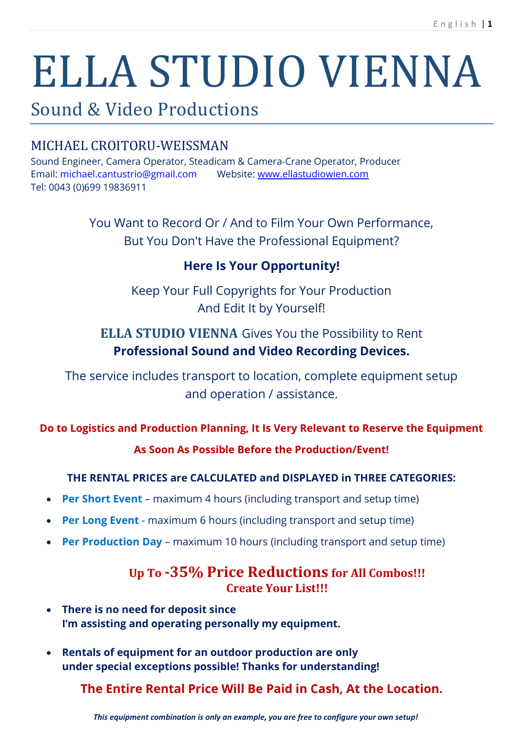# ELLA STUDIO VIENNA

# Sound & Video Productions

# MICHAEL CROITORU-WEISSMAN

Sound Engineer, Camera Operator, Steadicam & Camera-Crane Operator, Producer Email: [michael.cantustrio@gmail.com](mailto:michael.cantustrio@gmail.com) Website: [www.ellastudiowien.com](file:///C:/Users/michaelcroitoruweiss/Desktop/www.ellastudiowien.com) Tel: 0043 (0)699 19836911

> You Want to Record Or / And to Film Your Own Performance, But You Don't Have the Professional Equipment?

# **Here Is Your Opportunity!**

Keep Your Full Copyrights for Your Production And Edit It by Yourself!

# **ELLA STUDIO VIENNA** Gives You the Possibility to Rent **Professional Sound and Video Recording Devices.**

The service includes transport to location, complete equipment setup and operation / assistance.

# **Do to Logistics and Production Planning, It Is Very Relevant to Reserve the Equipment**

## **As Soon As Possible Before the Production/Event!**

# **THE RENTAL PRICES are CALCULATED and DISPLAYED in THREE CATEGORIES:**

- **Per Short Event** maximum 4 hours (including transport and setup time)
- **Per Long Event** maximum 6 hours (including transport and setup time)
- **Per Production Day** maximum 10 hours (including transport and setup time)

# **Up To -35% Price Reductions for All Combos!!! Create Your List!!!**

- **There is no need for deposit since I'm assisting and operating personally my equipment.**
- **Rentals of equipment for an outdoor production are only under special exceptions possible! Thanks for understanding!**

**The Entire Rental Price Will Be Paid in Cash, At the Location.**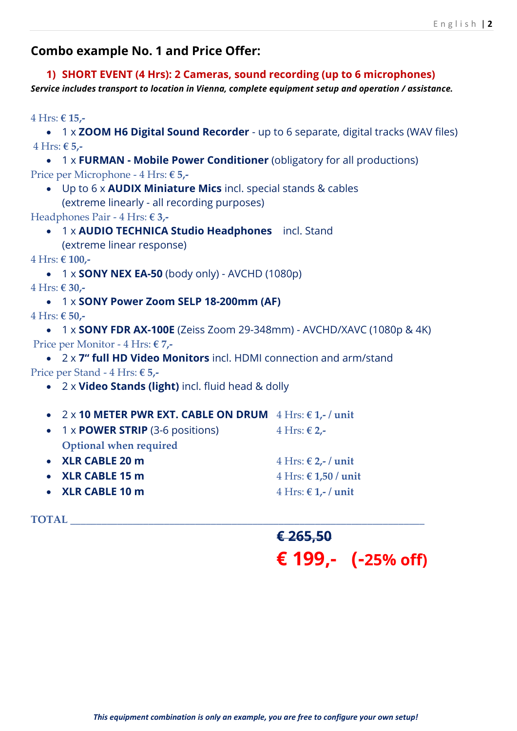## **Combo example No. 1 and Price Offer:**

**1) SHORT EVENT (4 Hrs): 2 Cameras, sound recording (up to 6 microphones)** *Service includes transport to location in Vienna, complete equipment setup and operation / assistance.*

4 Hrs: **€ 15,-**

 1 x **ZOOM H6 Digital Sound Recorder** - up to 6 separate, digital tracks (WAV files) 4 Hrs: **€ 5,-**

 1 x **FURMAN - Mobile Power Conditioner** (obligatory for all productions) Price per Microphone - 4 Hrs: **€ 5,-**

 Up to 6 x **AUDIX Miniature Mics** incl. special stands & cables (extreme linearly - all recording purposes)

Headphones Pair - 4 Hrs: **€ 3,-**

 1 x **AUDIO TECHNICA Studio Headphones** incl. Stand (extreme linear response)

4 Hrs: **€ 100,-**

```
 1 x SONY NEX EA-50 (body only) - AVCHD (1080p)
```
4 Hrs: **€ 30,-**

1 x **SONY Power Zoom SELP 18-200mm (AF)**

4 Hrs: **€ 50,-**

 1 x **SONY FDR AX-100E** (Zeiss Zoom 29-348mm) - AVCHD/XAVC (1080p & 4K) Price per Monitor - 4 Hrs: **€ 7,-**

 2 x **7" full HD Video Monitors** incl. HDMI connection and arm/stand Price per Stand - 4 Hrs: **€ 5,-**

- 2 x **Video Stands (light)** incl. fluid head & dolly
- 2 x **10 METER PWR EXT. CABLE ON DRUM** 4 Hrs: **€ 1,- / unit**

| • $1 \times$ POWER STRIP (3-6 positions) | $4 Hrs: € 2,-$                                   |
|------------------------------------------|--------------------------------------------------|
| Optional when required                   |                                                  |
| • XLR CABLE 20 m                         | $4 Hrs: \in 2, -\ell$ unit                       |
| • XLR CABLE 15 m                         | $4 Hrs: \text{\textsterling} 1,50 / \text{unit}$ |
| • XLR CABLE 10 m                         | $4 Hrs: \mathbf{\in} \mathbf{1}$ / unit          |

 $\bold{TOTAL}$ 

# **€ 265,50 € 199,- (-25% off)**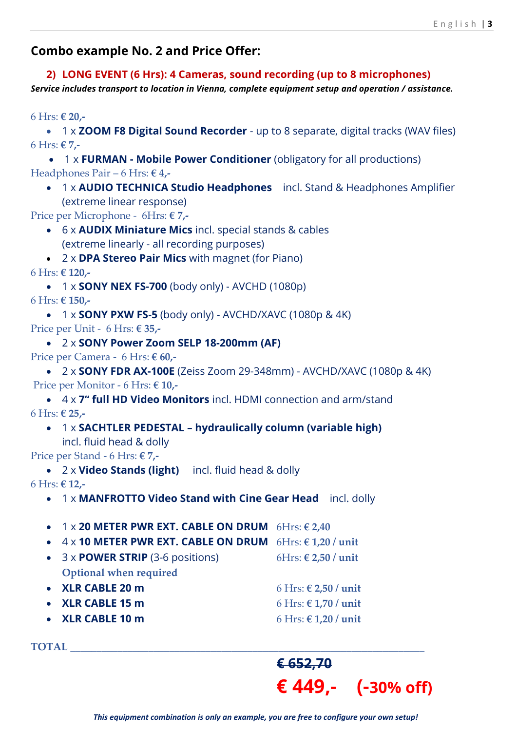## **Combo example No. 2 and Price Offer:**

**2) LONG EVENT (6 Hrs): 4 Cameras, sound recording (up to 8 microphones)** *Service includes transport to location in Vienna, complete equipment setup and operation / assistance.*

6 Hrs: **€ 20,-**

 1 x **ZOOM F8 Digital Sound Recorder** - up to 8 separate, digital tracks (WAV files) 6 Hrs: **€ 7,-**

 1 x **FURMAN - Mobile Power Conditioner** (obligatory for all productions) Headphones Pair – 6 Hrs: **€ 4,-**

 1 x **AUDIO TECHNICA Studio Headphones** incl. Stand & Headphones Amplifier (extreme linear response)

Price per Microphone - 6Hrs: **€ 7,-**

- 6 x **AUDIX Miniature Mics** incl. special stands & cables (extreme linearly - all recording purposes)
- 2 x **DPA Stereo Pair Mics** with magnet (for Piano)

6 Hrs: **€ 120,-**

 1 x **SONY NEX FS-700** (body only) - AVCHD (1080p) 6 Hrs: **€ 150,-**

 1 x **SONY PXW FS-5** (body only) - AVCHD/XAVC (1080p & 4K) Price per Unit - 6 Hrs: **€ 35,-**

 2 x **SONY Power Zoom SELP 18-200mm (AF)** Price per Camera - 6 Hrs: **€ 60,-**

 2 x **SONY FDR AX-100E** (Zeiss Zoom 29-348mm) - AVCHD/XAVC (1080p & 4K) Price per Monitor - 6 Hrs: **€ 10,-**

 4 x **7" full HD Video Monitors** incl. HDMI connection and arm/stand 6 Hrs: **€ 25,-**

 1 x **SACHTLER PEDESTAL – hydraulically column (variable high)** incl. fluid head & dolly

Price per Stand - 6 Hrs: **€ 7,-**

2 x **Video Stands (light)** incl. fluid head & dolly

6 Hrs: **€ 12,-**

1 x **MANFROTTO Video Stand with Cine Gear Head** incl. dolly

1 x **20 METER PWR EXT. CABLE ON DRUM** 6Hrs: **€ 2,40**

4 x **10 METER PWR EXT. CABLE ON DRUM** 6Hrs: **€ 1,20 / unit**

- $\bullet$  3 x **POWER STRIP** (3-6 positions) 6Hrs:  $\epsilon$  2,50 */* unit **Optional when required**
- **XLR CABLE 20 m** 6 Hrs: **€ 2,50 / unit XLR CABLE 15 m** 6 Hrs: **€ 1,70 / unit**
- **XLR CABLE 10 m** 6 Hrs: **€ 1,20 / unit**

 $\bf TOTAL$ 

# **€ 652,70 € 449,- (-30% off)**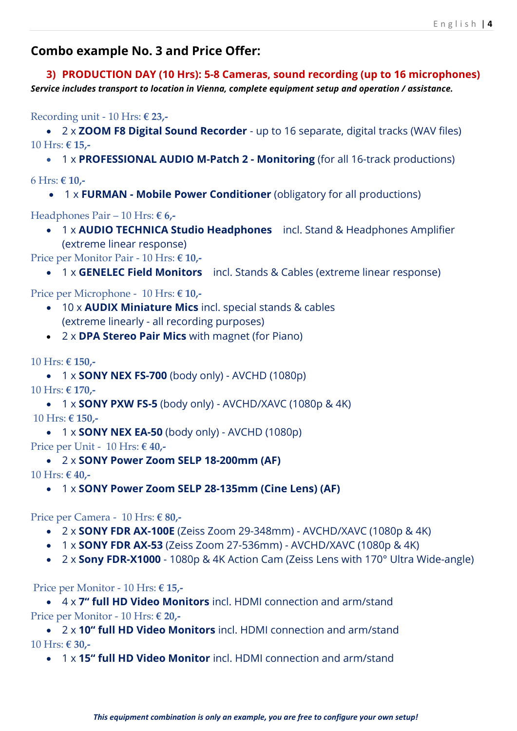## **Combo example No. 3 and Price Offer:**

**3) PRODUCTION DAY (10 Hrs): 5-8 Cameras, sound recording (up to 16 microphones)** *Service includes transport to location in Vienna, complete equipment setup and operation / assistance.*

Recording unit - 10 Hrs: **€ 23,-**

 2 x **ZOOM F8 Digital Sound Recorder** - up to 16 separate, digital tracks (WAV files) 10 Hrs: **€ 15,-**

1 x **PROFESSIONAL AUDIO M-Patch 2 - Monitoring** (for all 16-track productions)

6 Hrs: **€ 10,-**

1 x **FURMAN - Mobile Power Conditioner** (obligatory for all productions)

Headphones Pair – 10 Hrs: **€ 6,-**

 1 x **AUDIO TECHNICA Studio Headphones** incl. Stand & Headphones Amplifier (extreme linear response)

Price per Monitor Pair - 10 Hrs: **€ 10,-**

1 x **GENELEC Field Monitors** incl. Stands & Cables (extreme linear response)

Price per Microphone - 10 Hrs: **€ 10,-**

- 10 x **AUDIX Miniature Mics** incl. special stands & cables (extreme linearly - all recording purposes)
- 2 x **DPA Stereo Pair Mics** with magnet (for Piano)

10 Hrs: **€ 150,-**

 1 x **SONY NEX FS-700** (body only) - AVCHD (1080p) 10 Hrs: **€ 170,-**

 1 x **SONY PXW FS-5** (body only) - AVCHD/XAVC (1080p & 4K) 10 Hrs: **€ 150,-**

 1 x **SONY NEX EA-50** (body only) - AVCHD (1080p) Price per Unit - 10 Hrs: **€ 40,-**

2 x **SONY Power Zoom SELP 18-200mm (AF)**

10 Hrs: **€ 40,-**

1 x **SONY Power Zoom SELP 28-135mm (Cine Lens) (AF)**

Price per Camera - 10 Hrs: **€ 80,-**

- 2 x **SONY FDR AX-100E** (Zeiss Zoom 29-348mm) AVCHD/XAVC (1080p & 4K)
- 1 x **SONY FDR AX-53** (Zeiss Zoom 27-536mm) AVCHD/XAVC (1080p & 4K)
- 2 x **Sony FDR-X1000** [1080p & 4K Action](https://www.amazon.de/gp/product/B00RK7OD8Q/ref=oh_aui_search_detailpage?ie=UTF8&psc=1) Cam (Zeiss Lens with 170° Ultra Wide-angle)

Price per Monitor - 10 Hrs: **€ 15,-**

 4 x **7" full HD Video Monitors** incl. HDMI connection and arm/stand Price per Monitor - 10 Hrs: **€ 20,-**

 2 x **10" full HD Video Monitors** incl. HDMI connection and arm/stand 10 Hrs: **€ 30,-**

1 x **15" full HD Video Monitor** incl. HDMI connection and arm/stand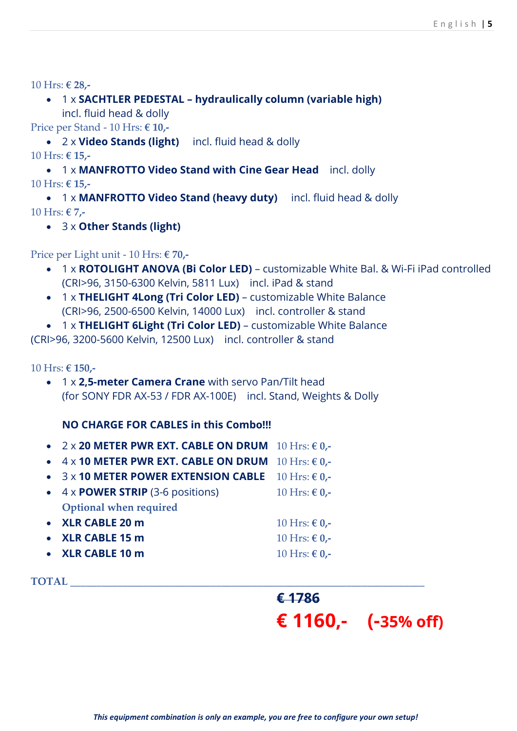- 10 Hrs: **€ 28,-**
	- 1 x **SACHTLER PEDESTAL – hydraulically column (variable high)** incl. fluid head & dolly

Price per Stand - 10 Hrs: **€ 10,-**

 2 x **Video Stands (light)** incl. fluid head & dolly 10 Hrs: **€ 15,-**

 1 x **MANFROTTO Video Stand with Cine Gear Head** incl. dolly 10 Hrs: **€ 15,-**

 1 x **MANFROTTO Video Stand (heavy duty)** incl. fluid head & dolly 10 Hrs: **€ 7,-**

3 x **Other Stands (light)**

Price per Light unit - 10 Hrs: **€ 70,-**

- 1 x **ROTOLIGHT ANOVA (Bi Color LED)** customizable White Bal. & Wi-Fi iPad controlled (CRI>96, 3150-6300 Kelvin, 5811 Lux) incl. iPad & stand
- 1 x **THELIGHT 4Long (Tri Color LED)** customizable White Balance (CRI>96, 2500-6500 Kelvin, 14000 Lux) incl. controller & stand

1 x **THELIGHT 6Light (Tri Color LED)** – customizable White Balance

(CRI>96, 3200-5600 Kelvin, 12500 Lux) incl. controller & stand

10 Hrs: **€ 150,-**

 1 x **2,5-meter Camera Crane** with servo Pan/Tilt head (for SONY FDR AX-53 / FDR AX-100E) incl. Stand, Weights & Dolly

#### **NO CHARGE FOR CABLES in this Combo!!!**

- 2 x **20 METER PWR EXT. CABLE ON DRUM** 10 Hrs: **€ 0,-**
- 4 x **10 METER PWR EXT. CABLE ON DRUM** 10 Hrs: **€ 0,-**
- 3 x **10 METER POWER EXTENSION CABLE** 10 Hrs: **€ 0,-**
- $\bullet$  4 x **POWER STRIP** (3-6 positions) 10 Hrs:  $\epsilon$  0,-**Optional when required**
- **XLR CABLE 20 m** 10 Hrs: **€ 0,- XLR CABLE 15 m** 10 Hrs: **€ 0,-**
- **XLR CABLE 10 m** 10 Hrs: **€ 0,-**

 $\bf TOTAL$ 

**€ 1786 € 1160,- (-35% off)**

*This equipment combination is only an example, you are free to configure your own setup!*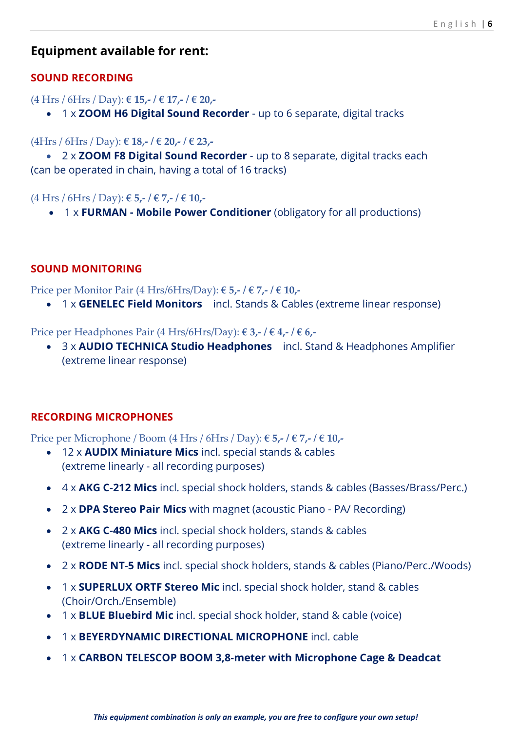## **Equipment available for rent:**

#### **SOUND RECORDING**

#### (4 Hrs / 6Hrs / Day): **€ 15,- / € 17,- / € 20,-**

1 x **ZOOM H6 Digital Sound Recorder** - up to 6 separate, digital tracks

#### (4Hrs / 6Hrs / Day): **€ 18,- / € 20,- / € 23,-**

 2 x **ZOOM F8 Digital Sound Recorder** - up to 8 separate, digital tracks each (can be operated in chain, having a total of 16 tracks)

(4 Hrs / 6Hrs / Day): **€ 5,- / € 7,- / € 10,-**

1 x **FURMAN - Mobile Power Conditioner** (obligatory for all productions)

#### **SOUND MONITORING**

Price per Monitor Pair (4 Hrs/6Hrs/Day): **€ 5,- / € 7,- / € 10,-**

1 x **GENELEC Field Monitors** incl. Stands & Cables (extreme linear response)

Price per Headphones Pair (4 Hrs/6Hrs/Day): **€ 3,- / € 4,- / € 6,-**

 3 x **AUDIO TECHNICA Studio Headphones** incl. Stand & Headphones Amplifier (extreme linear response)

#### **RECORDING MICROPHONES**

Price per Microphone / Boom (4 Hrs / 6Hrs / Day): **€ 5,- / € 7,- / € 10,-**

- 12 x **AUDIX Miniature Mics** incl. special stands & cables (extreme linearly - all recording purposes)
- 4 x **AKG C-212 Mics** incl. special shock holders, stands & cables (Basses/Brass/Perc.)
- 2 x **DPA Stereo Pair Mics** with magnet (acoustic Piano PA/ Recording)
- 2 x **AKG C-480 Mics** incl. special shock holders, stands & cables (extreme linearly - all recording purposes)
- 2 x **RODE NT-5 Mics** incl. special shock holders, stands & cables (Piano/Perc./Woods)
- 1 x **SUPERLUX ORTF Stereo Mic** incl. special shock holder, stand & cables (Choir/Orch./Ensemble)
- 1 x **BLUE Bluebird Mic** incl. special shock holder, stand & cable (voice)
- 1 x **BEYERDYNAMIC DIRECTIONAL MICROPHONE** incl. cable
- 1 x **CARBON TELESCOP BOOM 3,8-meter with Microphone Cage & Deadcat**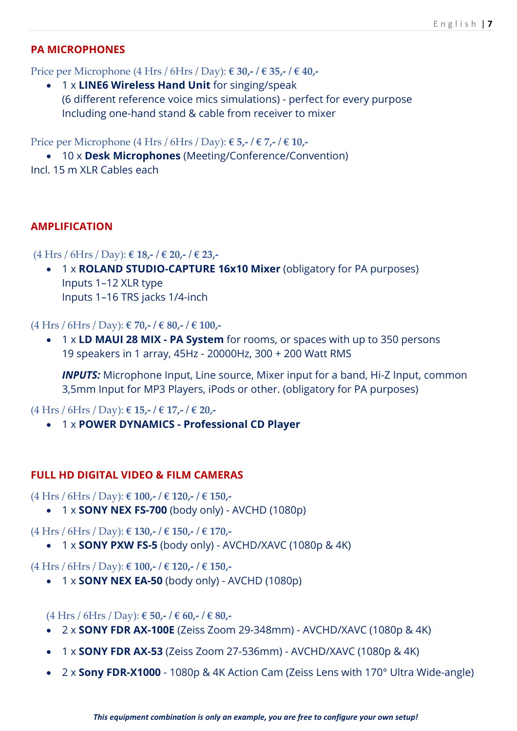#### **PA MICROPHONES**

Price per Microphone (4 Hrs / 6Hrs / Day): **€ 30,- / € 35,- / € 40,-**

 1 x **LINE6 Wireless Hand Unit** for singing/speak (6 different reference voice mics simulations) - perfect for every purpose Including one-hand stand & cable from receiver to mixer

Price per Microphone (4 Hrs / 6Hrs / Day): **€ 5,- / € 7,- / € 10,-**

 10 x **Desk Microphones** (Meeting/Conference/Convention) Incl. 15 m XLR Cables each

#### **AMPLIFICATION**

(4 Hrs / 6Hrs / Day): **€ 18,- / € 20,- / € 23,-**

 1 x **ROLAND STUDIO-CAPTURE 16x10 Mixer** (obligatory for PA purposes) Inputs 1–12 XLR type Inputs 1–16 TRS jacks 1/4-inch

(4 Hrs / 6Hrs / Day): **€ 70,- / € 80,- / € 100,-**

 1 x **LD MAUI 28 MIX - PA System** for rooms, or spaces with up to 350 persons 19 speakers in 1 array, 45Hz - 20000Hz, 300 + 200 Watt RMS

*INPUTS:* Microphone Input, Line source, Mixer input for a band, Hi-Z Input, common 3,5mm Input for MP3 Players, iPods or other. (obligatory for PA purposes)

(4 Hrs / 6Hrs / Day): **€ 15,- / € 17,- / € 20,-**

1 x **POWER DYNAMICS - Professional CD Player**

#### **FULL HD DIGITAL VIDEO & FILM CAMERAS**

(4 Hrs / 6Hrs / Day): **€ 100,- / € 120,- / € 150,-**

1 x **SONY NEX FS-700** (body only) - AVCHD (1080p)

(4 Hrs / 6Hrs / Day): **€ 130,- / € 150,- / € 170,-**

1 x **SONY PXW FS-5** (body only) - AVCHD/XAVC (1080p & 4K)

(4 Hrs / 6Hrs / Day): **€ 100,- / € 120,- / € 150,-**

1 x **SONY NEX EA-50** (body only) - AVCHD (1080p)

(4 Hrs / 6Hrs / Day): **€ 50,- / € 60,- / € 80,-**

- 2 x **SONY FDR AX-100E** (Zeiss Zoom 29-348mm) AVCHD/XAVC (1080p & 4K)
- 1 x **SONY FDR AX-53** (Zeiss Zoom 27-536mm) AVCHD/XAVC (1080p & 4K)
- 2 x **Sony FDR-X1000** 1080p & 4K Action Cam (Zeiss Lens with 170° [Ultra Wide-angle\)](https://www.amazon.de/gp/product/B00RK7OD8Q/ref=oh_aui_search_detailpage?ie=UTF8&psc=1)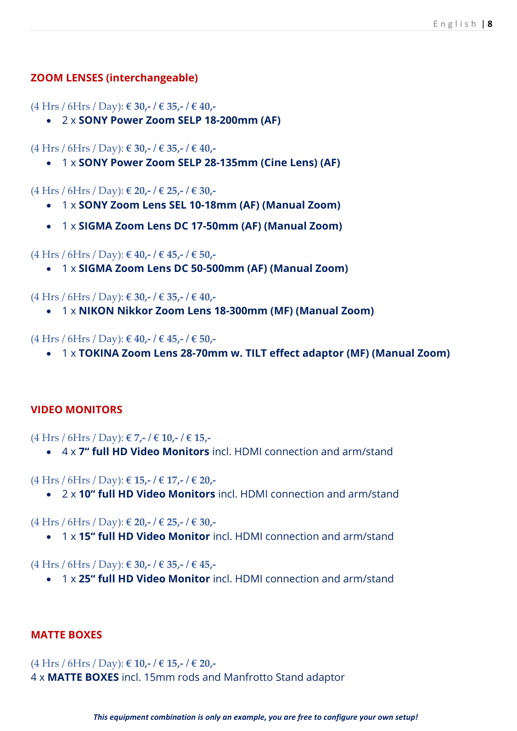#### **ZOOM LENSES (interchangeable)**

(4 Hrs / 6Hrs / Day): **€ 30,- / € 35,- / € 40,-**

2 x **SONY Power Zoom SELP 18-200mm (AF)**

(4 Hrs / 6Hrs / Day): **€ 30,- / € 35,- / € 40,-**

1 x **SONY Power Zoom SELP 28-135mm (Cine Lens) (AF)**

(4 Hrs / 6Hrs / Day): **€ 20,- / € 25,- / € 30,-**

- 1 x **SONY Zoom Lens SEL 10-18mm (AF) (Manual Zoom)**
- 1 x **SIGMA Zoom Lens DC 17-50mm (AF) (Manual Zoom)**

(4 Hrs / 6Hrs / Day): **€ 40,- / € 45,- / € 50,-**

1 x **SIGMA Zoom Lens DC 50-500mm (AF) (Manual Zoom)**

(4 Hrs / 6Hrs / Day): **€ 30,- / € 35,- / € 40,-**

1 x **NIKON Nikkor Zoom Lens 18-300mm (MF) (Manual Zoom)**

(4 Hrs / 6Hrs / Day): **€ 40,- / € 45,- / € 50,-**

1 x **TOKINA Zoom Lens 28-70mm w. TILT effect adaptor (MF) (Manual Zoom)**

#### **VIDEO MONITORS**

(4 Hrs / 6Hrs / Day): **€ 7,- / € 10,- / € 15,-**

4 x **7" full HD Video Monitors** incl. HDMI connection and arm/stand

(4 Hrs / 6Hrs / Day): **€ 15,- / € 17,- / € 20,-**

2 x **10" full HD Video Monitors** incl. HDMI connection and arm/stand

(4 Hrs / 6Hrs / Day): **€ 20,- / € 25,- / € 30,-**

1 x **15" full HD Video Monitor** incl. HDMI connection and arm/stand

(4 Hrs / 6Hrs / Day): **€ 30,- / € 35,- / € 45,-**

1 x **25" full HD Video Monitor** incl. HDMI connection and arm/stand

#### **MATTE BOXES**

(4 Hrs / 6Hrs / Day): **€ 10,- / € 15,- / € 20,-** 4 x **MATTE BOXES** incl. 15mm rods and Manfrotto Stand adaptor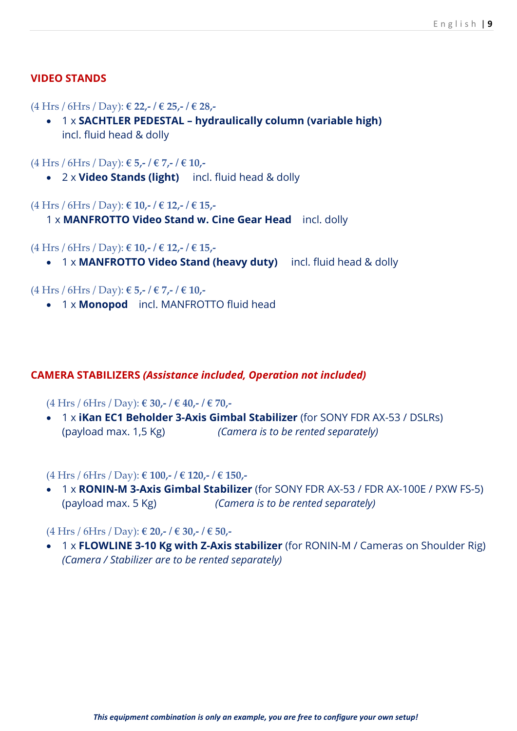#### **VIDEO STANDS**

#### (4 Hrs / 6Hrs / Day): **€ 22,- / € 25,- / € 28,-**

 1 x **SACHTLER PEDESTAL – hydraulically column (variable high)** incl. fluid head & dolly

#### (4 Hrs / 6Hrs / Day): **€ 5,- / € 7,- / € 10,-**

2 x **Video Stands (light)** incl. fluid head & dolly

#### (4 Hrs / 6Hrs / Day): **€ 10,- / € 12,- / € 15,-**

1 x **MANFROTTO Video Stand w. Cine Gear Head** incl. dolly

#### (4 Hrs / 6Hrs / Day): **€ 10,- / € 12,- / € 15,-**

1 x **MANFROTTO Video Stand (heavy duty)** incl. fluid head & dolly

#### (4 Hrs / 6Hrs / Day): **€ 5,- / € 7,- / € 10,-**

1 x **Monopod** incl. MANFROTTO fluid head

#### **CAMERA STABILIZERS** *(Assistance included, Operation not included)*

#### (4 Hrs / 6Hrs / Day): **€ 30,- / € 40,- / € 70,-**

 1 x **[iKan EC1 Beholder 3-Axis Gimbal Stabilizer](https://camerakings.co.uk/ikan-ec1-beholder-3-axis-gimbal-stabiliser)** (for SONY FDR AX-53 / DSLRs) (payload max. 1,5 Kg) *(Camera is to be rented separately)*

#### (4 Hrs / 6Hrs / Day): **€ 100,- / € 120,- / € 150,-**

 1 x **RONIN-M 3-Axis Gimbal Stabilizer** (for SONY FDR AX-53 / FDR AX-100E / PXW FS-5) (payload max. 5 Kg) *(Camera is to be rented separately)*

#### (4 Hrs / 6Hrs / Day): **€ 20,- / € 30,- / € 50,-**

 1 x **FLOWLINE 3-10 Kg with Z-Axis stabilizer** (for RONIN-M / Cameras on Shoulder Rig) *(Camera / Stabilizer are to be rented separately)*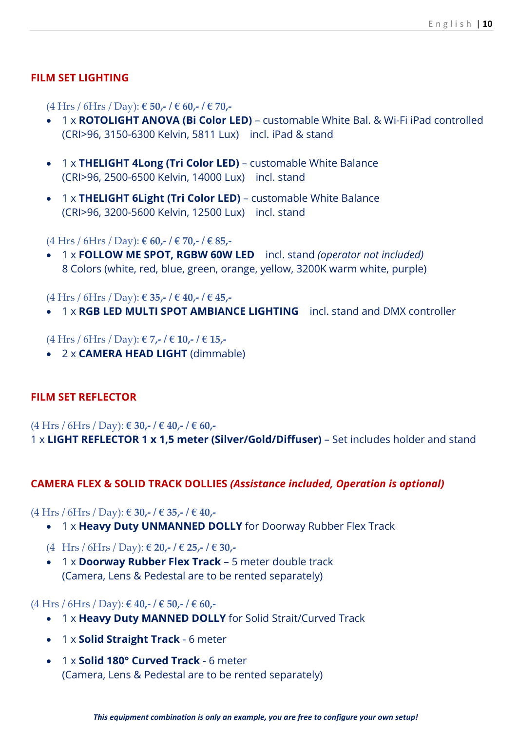#### **FILM SET LIGHTING**

(4 Hrs / 6Hrs / Day): **€ 50,- / € 60,- / € 70,-**

- 1 x **ROTOLIGHT ANOVA (Bi Color LED)** customable White Bal. & Wi-Fi iPad controlled (CRI>96, 3150-6300 Kelvin, 5811 Lux) incl. iPad & stand
- 1 x **THELIGHT 4Long (Tri Color LED)** customable White Balance (CRI>96, 2500-6500 Kelvin, 14000 Lux) incl. stand
- 1 x **THELIGHT 6Light (Tri Color LED)** customable White Balance (CRI>96, 3200-5600 Kelvin, 12500 Lux) incl. stand

(4 Hrs / 6Hrs / Day): **€ 60,- / € 70,- / € 85,-**

 1 x **FOLLOW ME SPOT, RGBW 60W LED** incl. stand *(operator not included)* 8 Colors (white, red, blue, green, orange, yellow, 3200K warm white, purple)

(4 Hrs / 6Hrs / Day): **€ 35,- / € 40,- / € 45,-**

1 x **RGB LED MULTI SPOT AMBIANCE LIGHTING** incl. stand and DMX controller

(4 Hrs / 6Hrs / Day): **€ 7,- / € 10,- / € 15,-**

2 x **CAMERA HEAD LIGHT** (dimmable)

#### **FILM SET REFLECTOR**

(4 Hrs / 6Hrs / Day): **€ 30,- / € 40,- / € 60,-**

1 x **LIGHT REFLECTOR 1 x 1,5 meter (Silver/Gold/Diffuser)** – Set includes holder and stand

#### **CAMERA FLEX & SOLID TRACK DOLLIES** *(Assistance included, Operation is optional)*

(4 Hrs / 6Hrs / Day): **€ 30,- / € 35,- / € 40,-**

- 1 x **Heavy Duty UNMANNED DOLLY** for Doorway Rubber Flex Track
- (4 Hrs / 6Hrs / Day): **€ 20,- / € 25,- / € 30,-**
- 1 x **Doorway Rubber Flex Track** 5 meter double track (Camera, Lens & Pedestal are to be rented separately)

#### (4 Hrs / 6Hrs / Day): **€ 40,- / € 50,- / € 60,-**

- 1 x **Heavy Duty MANNED DOLLY** for Solid Strait/Curved Track
- 1 x **Solid Straight Track** 6 meter
- 1 x **Solid 180° Curved Track** 6 meter (Camera, Lens & Pedestal are to be rented separately)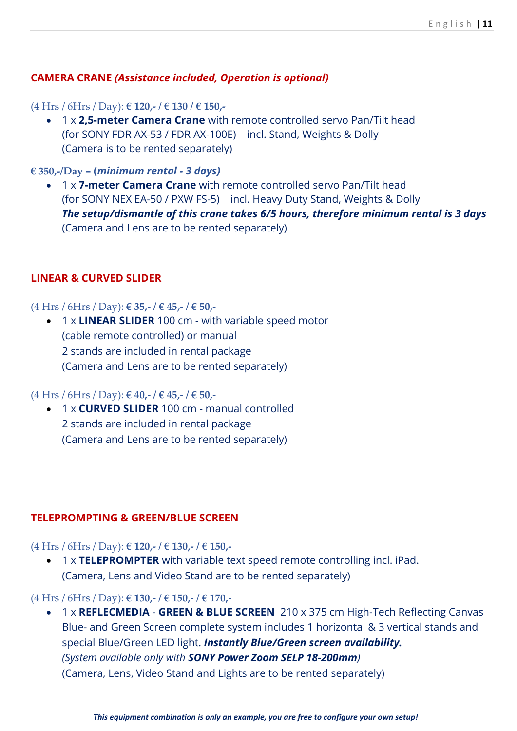#### **CAMERA CRANE** *(Assistance included, Operation is optional)*

#### (4 Hrs / 6Hrs / Day): **€ 120,- / € 130 / € 150,-**

 1 x **2,5-meter Camera Crane** with remote controlled servo Pan/Tilt head (for SONY FDR AX-53 / FDR AX-100E) incl. Stand, Weights & Dolly (Camera is to be rented separately)

#### **€ 350,-/Day – (***minimum rental - 3 days)*

 1 x **7-meter Camera Crane** with remote controlled servo Pan/Tilt head (for SONY NEX EA-50 / PXW FS-5) incl. Heavy Duty Stand, Weights & Dolly *The setup/dismantle of this crane takes 6/5 hours, therefore minimum rental is 3 days* (Camera and Lens are to be rented separately)

#### **LINEAR & CURVED SLIDER**

#### (4 Hrs / 6Hrs / Day): **€ 35,- / € 45,- / € 50,-**

 1 x **LINEAR SLIDER** 100 cm - with variable speed motor (cable remote controlled) or manual 2 stands are included in rental package (Camera and Lens are to be rented separately)

#### (4 Hrs / 6Hrs / Day): **€ 40,- / € 45,- / € 50,-**

 1 x **CURVED SLIDER** 100 cm - manual controlled 2 stands are included in rental package (Camera and Lens are to be rented separately)

#### **TELEPROMPTING & GREEN/BLUE SCREEN**

#### (4 Hrs / 6Hrs / Day): **€ 120,- / € 130,- / € 150,-**

 1 x **TELEPROMPTER** with variable text speed remote controlling incl. iPad. (Camera, Lens and Video Stand are to be rented separately)

#### (4 Hrs / 6Hrs / Day): **€ 130,- / € 150,- / € 170,-**

 1 x **REFLECMEDIA** - **GREEN & BLUE SCREEN** 210 x 375 cm High-Tech Reflecting Canvas Blue- and Green Screen complete system includes 1 horizontal & 3 vertical stands and special Blue/Green LED light. *Instantly Blue/Green screen availability. (System available only with SONY Power Zoom SELP 18-200mm)* (Camera, Lens, Video Stand and Lights are to be rented separately)